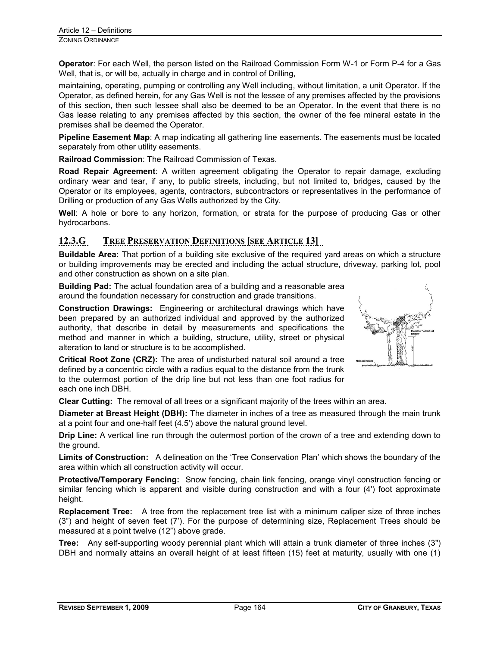**Operator**: For each Well, the person listed on the Railroad Commission Form W-1 or Form P-4 for a Gas Well, that is, or will be, actually in charge and in control of Drilling,

maintaining, operating, pumping or controlling any Well including, without limitation, a unit Operator. If the Operator, as defined herein, for any Gas Well is not the lessee of any premises affected by the provisions of this section, then such lessee shall also be deemed to be an Operator. In the event that there is no Gas lease relating to any premises affected by this section, the owner of the fee mineral estate in the premises shall be deemed the Operator.

**Pipeline Easement Map**: A map indicating all gathering line easements. The easements must be located separately from other utility easements.

**Railroad Commission**: The Railroad Commission of Texas.

**Road Repair Agreement**: A written agreement obligating the Operator to repair damage, excluding ordinary wear and tear, if any, to public streets, including, but not limited to, bridges, caused by the Operator or its employees, agents, contractors, subcontractors or representatives in the performance of Drilling or production of any Gas Wells authorized by the City.

**Well**: A hole or bore to any horizon, formation, or strata for the purpose of producing Gas or other hydrocarbons.

## **12.3.G TREE PRESERVATION DEFINITIONS [SEE ARTICLE 13]**

**Buildable Area:** That portion of a building site exclusive of the required yard areas on which a structure or building improvements may be erected and including the actual structure, driveway, parking lot, pool and other construction as shown on a site plan.

**Building Pad:** The actual foundation area of a building and a reasonable area around the foundation necessary for construction and grade transitions.

**Construction Drawings:** Engineering or architectural drawings which have been prepared by an authorized individual and approved by the authorized authority, that describe in detail by measurements and specifications the method and manner in which a building, structure, utility, street or physical alteration to land or structure is to be accomplished.

**Critical Root Zone (CRZ):** The area of undisturbed natural soil around a tree defined by a concentric circle with a radius equal to the distance from the trunk to the outermost portion of the drip line but not less than one foot radius for each one inch DBH.

**Clear Cutting:** The removal of all trees or a significant majority of the trees within an area.

**Diameter at Breast Height (DBH):** The diameter in inches of a tree as measured through the main trunk at a point four and one-half feet (4.5') above the natural ground level.

**Drip Line:** A vertical line run through the outermost portion of the crown of a tree and extending down to the ground.

**Limits of Construction:** A delineation on the 'Tree Conservation Plan' which shows the boundary of the area within which all construction activity will occur.

**Protective/Temporary Fencing:** Snow fencing, chain link fencing, orange vinyl construction fencing or similar fencing which is apparent and visible during construction and with a four (4') foot approximate height.

**Replacement Tree:** A tree from the replacement tree list with a minimum caliper size of three inches (3") and height of seven feet (7'). For the purpose of determining size, Replacement Trees should be measured at a point twelve (12") above grade.

**Tree:** Any self-supporting woody perennial plant which will attain a trunk diameter of three inches (3") DBH and normally attains an overall height of at least fifteen (15) feet at maturity, usually with one (1)

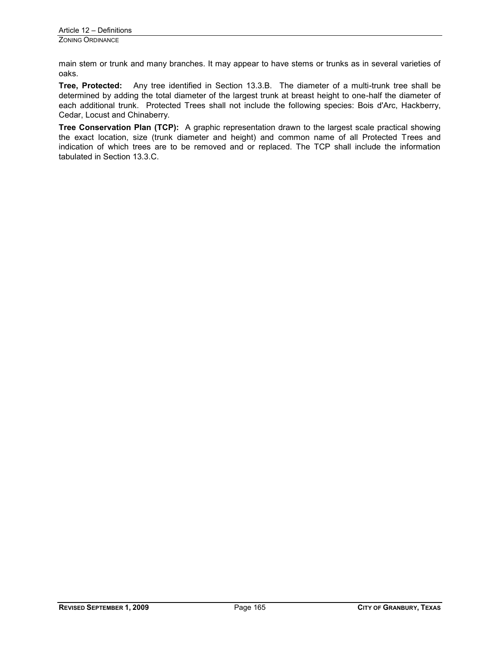main stem or trunk and many branches. It may appear to have stems or trunks as in several varieties of oaks.

**Tree, Protected:** Any tree identified in Section 13.3.B. The diameter of a multi-trunk tree shall be determined by adding the total diameter of the largest trunk at breast height to one-half the diameter of each additional trunk. Protected Trees shall not include the following species: Bois d'Arc, Hackberry, Cedar, Locust and Chinaberry.

**Tree Conservation Plan (TCP):** A graphic representation drawn to the largest scale practical showing the exact location, size (trunk diameter and height) and common name of all Protected Trees and indication of which trees are to be removed and or replaced. The TCP shall include the information tabulated in Section 13.3.C.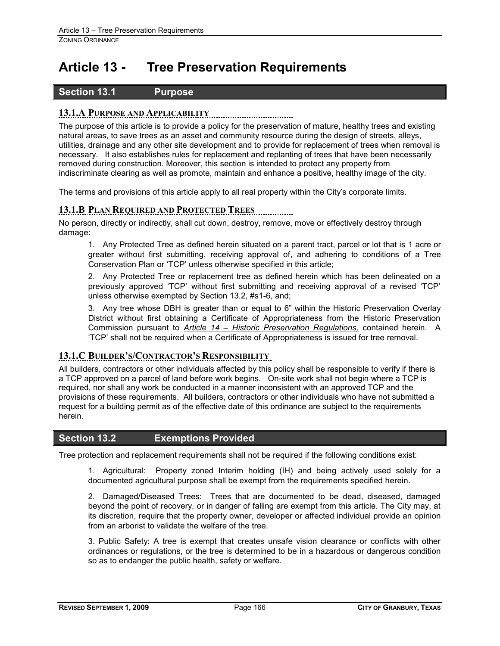# **Article 13 - Tree Preservation Requirements**

## **Section 13.1 Purpose**

## **13.1.A PURPOSE AND APPLICABILITY**

The purpose of this article is to provide a policy for the preservation of mature, healthy trees and existing natural areas, to save trees as an asset and community resource during the design of streets, alleys, utilities, drainage and any other site development and to provide for replacement of trees when removal is necessary. It also establishes rules for replacement and replanting of trees that have been necessarily removed during construction. Moreover, this section is intended to protect any property from indiscriminate clearing as well as promote, maintain and enhance a positive, healthy image of the city.

The terms and provisions of this article apply to all real property within the City's corporate limits.

## **13.1.B PLAN REQUIRED AND PROTECTED TREES**

No person, directly or indirectly, shall cut down, destroy, remove, move or effectively destroy through damage:

1. Any Protected Tree as defined herein situated on a parent tract, parcel or lot that is 1 acre or greater without first submitting, receiving approval of, and adhering to conditions of a Tree Conservation Plan or 'TCP' unless otherwise specified in this article;

2. Any Protected Tree or replacement tree as defined herein which has been delineated on a previously approved 'TCP' without first submitting and receiving approval of a revised 'TCP' unless otherwise exempted by Section 13.2, #s1-6, and;

3. Any tree whose DBH is greater than or equal to 6" within the Historic Preservation Overlay District without first obtaining a Certificate of Appropriateness from the Historic Preservation Commission pursuant to *Article 14 – Historic Preservation Regulations,* contained herein. A 'TCP' shall not be required when a Certificate of Appropriateness is issued for tree removal.

## **13.1.C BUILDER'S/CONTRACTOR'S RESPONSIBILITY**

All builders, contractors or other individuals affected by this policy shall be responsible to verify if there is a TCP approved on a parcel of land before work begins. On-site work shall not begin where a TCP is required, nor shall any work be conducted in a manner inconsistent with an approved TCP and the provisions of these requirements. All builders, contractors or other individuals who have not submitted a request for a building permit as of the effective date of this ordinance are subject to the requirements herein.

### **Section 13.2 Exemptions Provided**

Tree protection and replacement requirements shall not be required if the following conditions exist:

1. Agricultural:Property zoned Interim holding (IH) and being actively used solely for a documented agricultural purpose shall be exempt from the requirements specified herein.

2. Damaged/Diseased Trees: Trees that are documented to be dead, diseased, damaged beyond the point of recovery, or in danger of falling are exempt from this article. The City may, at its discretion, require that the property owner, developer or affected individual provide an opinion from an arborist to validate the welfare of the tree.

3. Public Safety: A tree is exempt that creates unsafe vision clearance or conflicts with other ordinances or regulations, or the tree is determined to be in a hazardous or dangerous condition so as to endanger the public health, safety or welfare.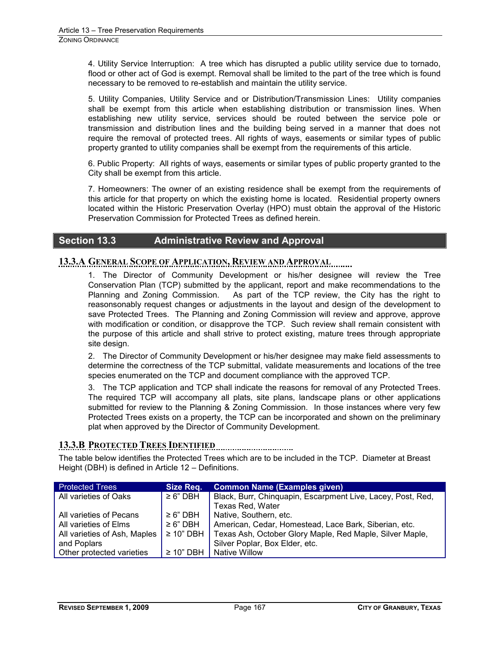4. Utility Service Interruption:A tree which has disrupted a public utility service due to tornado, flood or other act of God is exempt. Removal shall be limited to the part of the tree which is found necessary to be removed to re-establish and maintain the utility service.

5. Utility Companies, Utility Service and or Distribution/Transmission Lines: Utility companies shall be exempt from this article when establishing distribution or transmission lines. When establishing new utility service, services should be routed between the service pole or transmission and distribution lines and the building being served in a manner that does not require the removal of protected trees. All rights of ways, easements or similar types of public property granted to utility companies shall be exempt from the requirements of this article.

6. Public Property: All rights of ways, easements or similar types of public property granted to the City shall be exempt from this article.

7. Homeowners: The owner of an existing residence shall be exempt from the requirements of this article for that property on which the existing home is located. Residential property owners located within the Historic Preservation Overlay (HPO) must obtain the approval of the Historic Preservation Commission for Protected Trees as defined herein.

## **Section 13.3 Administrative Review and Approval**

### **13.3.A GENERAL SCOPE OF APPLICATION, REVIEW AND APPROVAL**

1. The Director of Community Development or his/her designee will review the Tree Conservation Plan (TCP) submitted by the applicant, report and make recommendations to the Planning and Zoning Commission. As part of the TCP review, the City has the right to reasonsonably request changes or adjustments in the layout and design of the development to save Protected Trees. The Planning and Zoning Commission will review and approve, approve with modification or condition, or disapprove the TCP. Such review shall remain consistent with the purpose of this article and shall strive to protect existing, mature trees through appropriate site design.

2. The Director of Community Development or his/her designee may make field assessments to determine the correctness of the TCP submittal, validate measurements and locations of the tree species enumerated on the TCP and document compliance with the approved TCP.

3. The TCP application and TCP shall indicate the reasons for removal of any Protected Trees. The required TCP will accompany all plats, site plans, landscape plans or other applications submitted for review to the Planning & Zoning Commission. In those instances where very few Protected Trees exists on a property, the TCP can be incorporated and shown on the preliminary plat when approved by the Director of Community Development.

### **13.3.B PROTECTED TREES IDENTIFIED**

The table below identifies the Protected Trees which are to be included in the TCP. Diameter at Breast Height (DBH) is defined in Article 12 – Definitions.

| <b>Protected Trees</b>       | Size Req.      | <b>Common Name (Examples given)</b>                         |
|------------------------------|----------------|-------------------------------------------------------------|
| All varieties of Oaks        | $\geq 6"$ DBH  | Black, Burr, Chinquapin, Escarpment Live, Lacey, Post, Red, |
|                              |                | Texas Red, Water                                            |
| All varieties of Pecans      | $\geq 6"$ DBH  | Native, Southern, etc.                                      |
| All varieties of Elms        | $\geq 6"$ DBH  | American, Cedar, Homestead, Lace Bark, Siberian, etc.       |
| All varieties of Ash, Maples | $\geq$ 10" DBH | Texas Ash, October Glory Maple, Red Maple, Silver Maple,    |
| and Poplars                  |                | Silver Poplar, Box Elder, etc.                              |
| Other protected varieties    | $\geq$ 10" DBH | <b>Native Willow</b>                                        |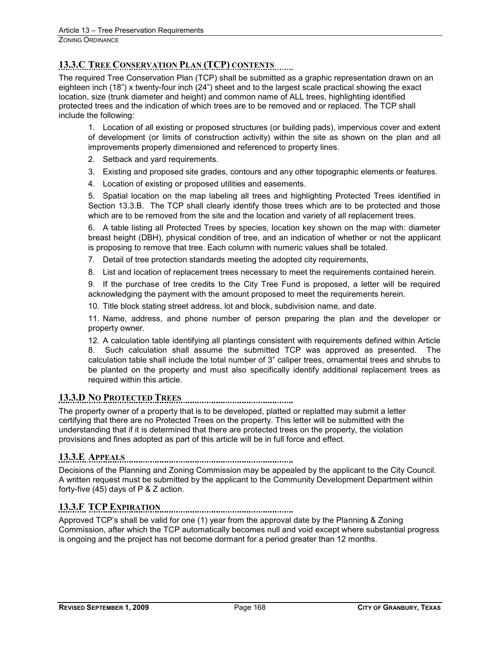## **13.3.C TREE CONSERVATION PLAN (TCP) CONTENTS**

The required Tree Conservation Plan (TCP) shall be submitted as a graphic representation drawn on an eighteen inch (18") x twenty-four inch (24") sheet and to the largest scale practical showing the exact location, size (trunk diameter and height) and common name of ALL trees, highlighting identified protected trees and the indication of which trees are to be removed and or replaced. The TCP shall include the following:

1. Location of all existing or proposed structures (or building pads), impervious cover and extent of development (or limits of construction activity) within the site as shown on the plan and all improvements properly dimensioned and referenced to property lines.

- 2. Setback and yard requirements.
- 3. Existing and proposed site grades, contours and any other topographic elements or features.
- 4. Location of existing or proposed utilities and easements.

5. Spatial location on the map labeling all trees and highlighting Protected Trees identified in Section 13.3.B. The TCP shall clearly identify those trees which are to be protected and those which are to be removed from the site and the location and variety of all replacement trees.

6. A table listing all Protected Trees by species, location key shown on the map with: diameter breast height (DBH), physical condition of tree, and an indication of whether or not the applicant is proposing to remove that tree. Each column with numeric values shall be totaled.

- 7. Detail of tree protection standards meeting the adopted city requirements,
- 8. List and location of replacement trees necessary to meet the requirements contained herein.

9. If the purchase of tree credits to the City Tree Fund is proposed, a letter will be required acknowledging the payment with the amount proposed to meet the requirements herein.

10. Title block stating street address, lot and block, subdivision name, and date.

11. Name, address, and phone number of person preparing the plan and the developer or property owner.

12. A calculation table identifying all plantings consistent with requirements defined within Article 8. Such calculation shall assume the submitted TCP was approved as presented. The calculation table shall include the total number of 3" caliper trees, ornamental trees and shrubs to be planted on the property and must also specifically identify additional replacement trees as required within this article.

## **13.3.D NO PROTECTED TREES**

The property owner of a property that is to be developed, platted or replatted may submit a letter certifying that there are no Protected Trees on the property. This letter will be submitted with the understanding that if it is determined that there are protected trees on the property, the violation provisions and fines adopted as part of this article will be in full force and effect.

## **13.3.E APPEALS**

Decisions of the Planning and Zoning Commission may be appealed by the applicant to the City Council. A written request must be submitted by the applicant to the Community Development Department within forty-five (45) days of P & Z action.

**13.3.F TCP EXPIRATION** 

Approved TCP's shall be valid for one (1) year from the approval date by the Planning & Zoning Commission, after which the TCP automatically becomes null and void except where substantial progress is ongoing and the project has not become dormant for a period greater than 12 months.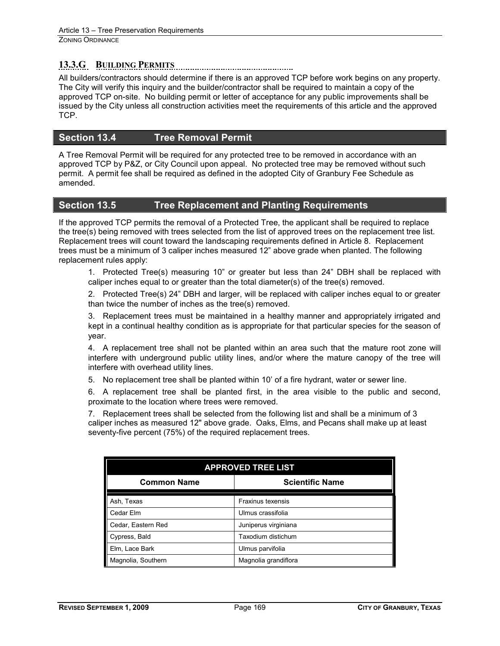## **13.3.G BUILDING PERMITS**

All builders/contractors should determine if there is an approved TCP before work begins on any property. The City will verify this inquiry and the builder/contractor shall be required to maintain a copy of the approved TCP on-site. No building permit or letter of acceptance for any public improvements shall be issued by the City unless all construction activities meet the requirements of this article and the approved TCP.

## **Section 13.4 Tree Removal Permit**

A Tree Removal Permit will be required for any protected tree to be removed in accordance with an approved TCP by P&Z, or City Council upon appeal. No protected tree may be removed without such permit. A permit fee shall be required as defined in the adopted City of Granbury Fee Schedule as amended.

## **Section 13.5 Tree Replacement and Planting Requirements**

If the approved TCP permits the removal of a Protected Tree, the applicant shall be required to replace the tree(s) being removed with trees selected from the list of approved trees on the replacement tree list. Replacement trees will count toward the landscaping requirements defined in Article 8. Replacement trees must be a minimum of 3 caliper inches measured 12" above grade when planted. The following replacement rules apply:

1. Protected Tree(s) measuring 10" or greater but less than 24" DBH shall be replaced with caliper inches equal to or greater than the total diameter(s) of the tree(s) removed.

2. Protected Tree(s) 24" DBH and larger, will be replaced with caliper inches equal to or greater than twice the number of inches as the tree(s) removed.

3. Replacement trees must be maintained in a healthy manner and appropriately irrigated and kept in a continual healthy condition as is appropriate for that particular species for the season of year.

4. A replacement tree shall not be planted within an area such that the mature root zone will interfere with underground public utility lines, and/or where the mature canopy of the tree will interfere with overhead utility lines.

5. No replacement tree shall be planted within 10' of a fire hydrant, water or sewer line.

6. A replacement tree shall be planted first, in the area visible to the public and second, proximate to the location where trees were removed.

7. Replacement trees shall be selected from the following list and shall be a minimum of 3 caliper inches as measured 12" above grade. Oaks, Elms, and Pecans shall make up at least seventy-five percent (75%) of the required replacement trees.

| <b>APPROVED TREE LIST</b> |                          |  |  |
|---------------------------|--------------------------|--|--|
| <b>Common Name</b>        | <b>Scientific Name</b>   |  |  |
| Ash, Texas                | <b>Fraxinus texensis</b> |  |  |
| Cedar Elm                 | Ulmus crassifolia        |  |  |
| Cedar, Eastern Red        | Juniperus virginiana     |  |  |
| Cypress, Bald             | Taxodium distichum       |  |  |
| Elm, Lace Bark            | Ulmus parvifolia         |  |  |
| Magnolia, Southern        | Magnolia grandiflora     |  |  |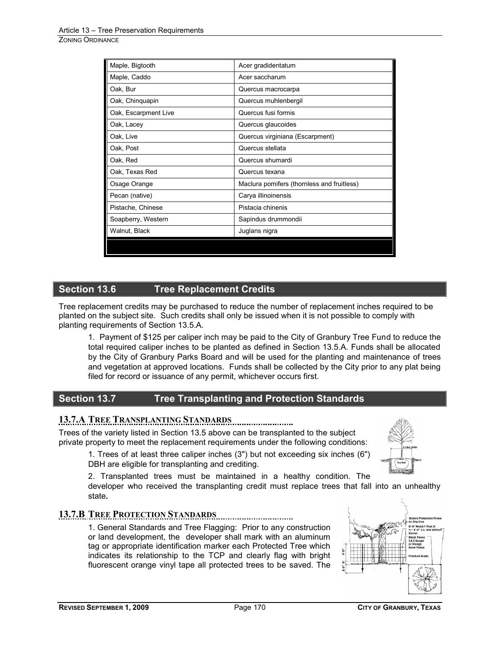| Maple, Bigtooth      | Acer gradidentatum                         |
|----------------------|--------------------------------------------|
| Maple, Caddo         | Acer saccharum                             |
| Oak, Bur             | Quercus macrocarpa                         |
| Oak, Chinguapin      | Quercus muhlenbergil                       |
| Oak, Escarpment Live | Quercus fusi formis                        |
| Oak, Lacey           | Quercus glaucoides                         |
| Oak, Live            | Quercus virginiana (Escarpment)            |
| Oak, Post            | Quercus stellata                           |
| Oak, Red             | Quercus shumardi                           |
| Oak, Texas Red       | Quercus texana                             |
| Osage Orange         | Maclura pomifers (thornless and fruitless) |
| Pecan (native)       | Carya illinoinensis                        |
| Pistache, Chinese    | Pistacia chinenis                          |
| Soapberry, Western   | Sapindus drummondii                        |
| Walnut, Black        | Juglans nigra                              |
|                      |                                            |

## **Section 13.6 Tree Replacement Credits**

Tree replacement credits may be purchased to reduce the number of replacement inches required to be planted on the subject site. Such credits shall only be issued when it is not possible to comply with planting requirements of Section 13.5.A.

1. Payment of \$125 per caliper inch may be paid to the City of Granbury Tree Fund to reduce the total required caliper inches to be planted as defined in Section 13.5.A. Funds shall be allocated by the City of Granbury Parks Board and will be used for the planting and maintenance of trees and vegetation at approved locations. Funds shall be collected by the City prior to any plat being filed for record or issuance of any permit, whichever occurs first.

## **Section 13.7 Tree Transplanting and Protection Standards**

## **13.7.A TREE TRANSPLANTING STANDARDS**

Trees of the variety listed in Section 13.5 above can be transplanted to the subject private property to meet the replacement requirements under the following conditions:

1. Trees of at least three caliper inches (3") but not exceeding six inches (6") DBH are eligible for transplanting and crediting.

2. Transplanted trees must be maintained in a healthy condition. The

developer who received the transplanting credit must replace trees that fall into an unhealthy state**.**

## **13.7.B TREE PROTECTION STANDARDS**

1. General Standards and Tree Flagging:Prior to any construction or land development, the developer shall mark with an aluminum tag or appropriate identification marker each Protected Tree which indicates its relationship to the TCP and clearly flag with bright fluorescent orange vinyl tape all protected trees to be saved. The



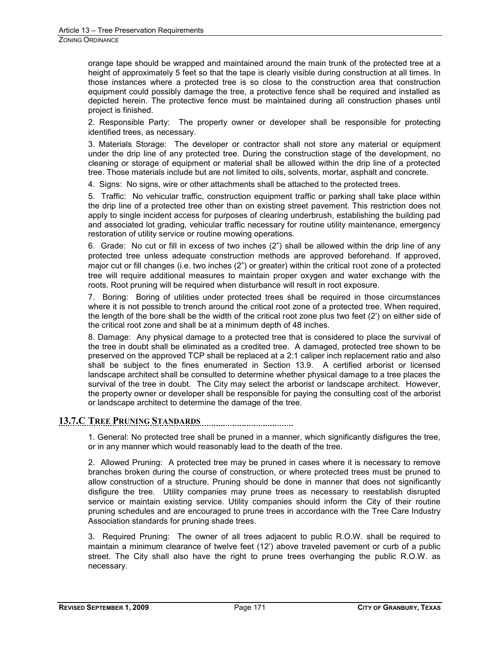orange tape should be wrapped and maintained around the main trunk of the protected tree at a height of approximately 5 feet so that the tape is clearly visible during construction at all times. In those instances where a protected tree is so close to the construction area that construction equipment could possibly damage the tree, a protective fence shall be required and installed as depicted herein. The protective fence must be maintained during all construction phases until project is finished.

2. Responsible Party: The property owner or developer shall be responsible for protecting identified trees, as necessary.

3. Materials Storage: The developer or contractor shall not store any material or equipment under the drip line of any protected tree. During the construction stage of the development, no cleaning or storage of equipment or material shall be allowed within the drip line of a protected tree. Those materials include but are not limited to oils, solvents, mortar, asphalt and concrete.

4. Signs: No signs, wire or other attachments shall be attached to the protected trees.

5. Traffic: No vehicular traffic, construction equipment traffic or parking shall take place within the drip line of a protected tree other than on existing street pavement. This restriction does not apply to single incident access for purposes of clearing underbrush, establishing the building pad and associated lot grading, vehicular traffic necessary for routine utility maintenance, emergency restoration of utility service or routine mowing operations.

6. Grade: No cut or fill in excess of two inches (2") shall be allowed within the drip line of any protected tree unless adequate construction methods are approved beforehand. If approved, major cut or fill changes (i.e. two inches (2") or greater) within the critical root zone of a protected tree will require additional measures to maintain proper oxygen and water exchange with the roots. Root pruning will be required when disturbance will result in root exposure.

7. Boring: Boring of utilities under protected trees shall be required in those circumstances where it is not possible to trench around the critical root zone of a protected tree. When required, the length of the bore shall be the width of the critical root zone plus two feet (2') on either side of the critical root zone and shall be at a minimum depth of 48 inches.

8. Damage: Any physical damage to a protected tree that is considered to place the survival of the tree in doubt shall be eliminated as a credited tree. A damaged, protected tree shown to be preserved on the approved TCP shall be replaced at a 2:1 caliper inch replacement ratio and also shall be subject to the fines enumerated in Section 13.9. A certified arborist or licensed landscape architect shall be consulted to determine whether physical damage to a tree places the survival of the tree in doubt. The City may select the arborist or landscape architect. However, the property owner or developer shall be responsible for paying the consulting cost of the arborist or landscape architect to determine the damage of the tree.

## **13.7.C TREE PRUNING STANDARDS**

1. General: No protected tree shall be pruned in a manner, which significantly disfigures the tree, or in any manner which would reasonably lead to the death of the tree.

2. Allowed Pruning: A protected tree may be pruned in cases where it is necessary to remove branches broken during the course of construction, or where protected trees must be pruned to allow construction of a structure. Pruning should be done in manner that does not significantly disfigure the tree. Utility companies may prune trees as necessary to reestablish disrupted service or maintain existing service. Utility companies should inform the City of their routine pruning schedules and are encouraged to prune trees in accordance with the Tree Care Industry Association standards for pruning shade trees.

3. Required Pruning: The owner of all trees adjacent to public R.O.W. shall be required to maintain a minimum clearance of twelve feet (12') above traveled pavement or curb of a public street. The City shall also have the right to prune trees overhanging the public R.O.W. as necessary.